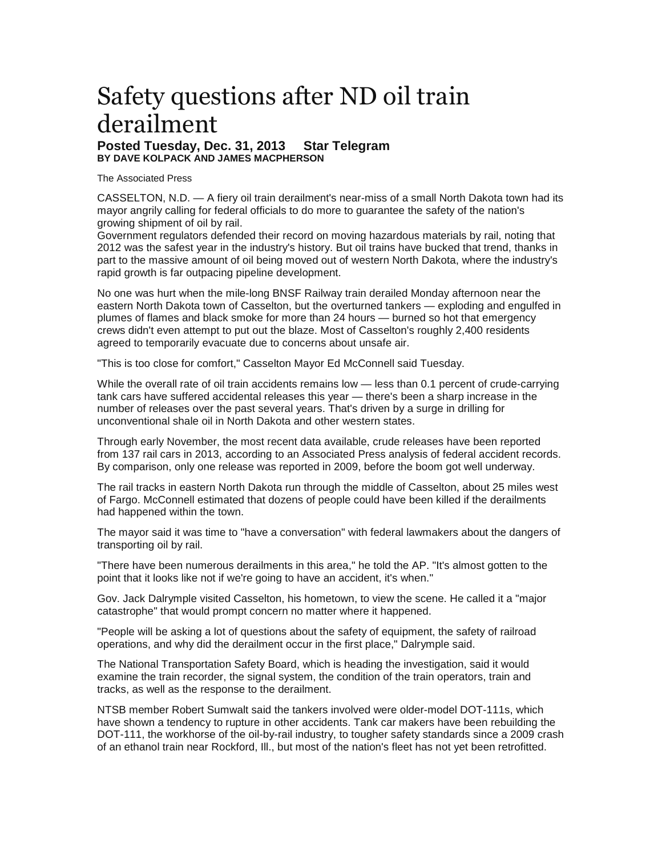## Safety questions after ND oil train derailment **Posted Tuesday, Dec. 31, 2013 Star Telegram**

**BY DAVE KOLPACK AND JAMES MACPHERSON** 

The Associated Press

CASSELTON, N.D. — A fiery oil train derailment's near-miss of a small North Dakota town had its mayor angrily calling for federal officials to do more to guarantee the safety of the nation's growing shipment of oil by rail.

Government regulators defended their record on moving hazardous materials by rail, noting that 2012 was the safest year in the industry's history. But oil trains have bucked that trend, thanks in part to the massive amount of oil being moved out of western North Dakota, where the industry's rapid growth is far outpacing pipeline development.

No one was hurt when the mile-long BNSF Railway train derailed Monday afternoon near the eastern North Dakota town of Casselton, but the overturned tankers — exploding and engulfed in plumes of flames and black smoke for more than 24 hours — burned so hot that emergency crews didn't even attempt to put out the blaze. Most of Casselton's roughly 2,400 residents agreed to temporarily evacuate due to concerns about unsafe air.

"This is too close for comfort," Casselton Mayor Ed McConnell said Tuesday.

While the overall rate of oil train accidents remains low — less than 0.1 percent of crude-carrying tank cars have suffered accidental releases this year — there's been a sharp increase in the number of releases over the past several years. That's driven by a surge in drilling for unconventional shale oil in North Dakota and other western states.

Through early November, the most recent data available, crude releases have been reported from 137 rail cars in 2013, according to an Associated Press analysis of federal accident records. By comparison, only one release was reported in 2009, before the boom got well underway.

The rail tracks in eastern North Dakota run through the middle of Casselton, about 25 miles west of Fargo. McConnell estimated that dozens of people could have been killed if the derailments had happened within the town.

The mayor said it was time to "have a conversation" with federal lawmakers about the dangers of transporting oil by rail.

"There have been numerous derailments in this area," he told the AP. "It's almost gotten to the point that it looks like not if we're going to have an accident, it's when."

Gov. Jack Dalrymple visited Casselton, his hometown, to view the scene. He called it a "major catastrophe" that would prompt concern no matter where it happened.

"People will be asking a lot of questions about the safety of equipment, the safety of railroad operations, and why did the derailment occur in the first place," Dalrymple said.

The National Transportation Safety Board, which is heading the investigation, said it would examine the train recorder, the signal system, the condition of the train operators, train and tracks, as well as the response to the derailment.

NTSB member Robert Sumwalt said the tankers involved were older-model DOT-111s, which have shown a tendency to rupture in other accidents. Tank car makers have been rebuilding the DOT-111, the workhorse of the oil-by-rail industry, to tougher safety standards since a 2009 crash of an ethanol train near Rockford, Ill., but most of the nation's fleet has not yet been retrofitted.